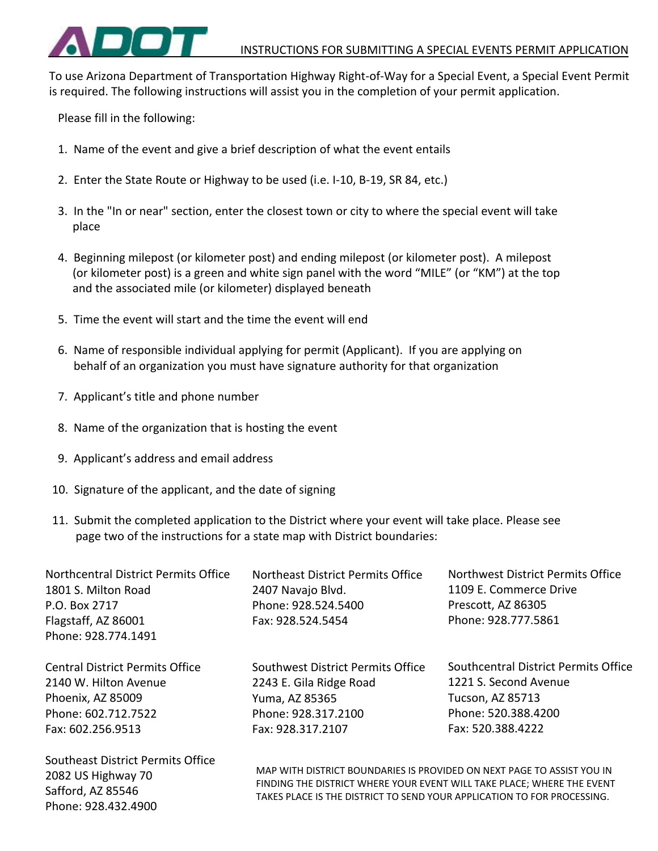

To use Arizona Department of Transportation Highway Right-of-Way for a Special Event, a Special Event Permit is required. The following instructions will assist you in the completion of your permit application.

Please fill in the following:

- 1. Name of the event and give a brief description of what the event entails
- 2. Enter the State Route or Highway to be used (i.e. I-10, B-19, SR 84, etc.)
- 3. In the "In or near" section, enter the closest town or city to where the special event will take place
- 4. Beginning milepost (or kilometer post) and ending milepost (or kilometer post). A milepost (or kilometer post) is a green and white sign panel with the word "MILE" (or "KM") at the top and the associated mile (or kilometer) displayed beneath
- 5. Time the event will start and the time the event will end
- 6. Name of responsible individual applying for permit (Applicant). If you are applying on behalf of an organization you must have signature authority for that organization
- 7. Applicant's title and phone number
- 8. Name of the organization that is hosting the event
- 9. Applicant's address and email address

2082 US Highway 70 Safford, AZ 85546 Phone: 928.432.4900

- 10. Signature of the applicant, and the date of signing
- 11. Submit the completed application to the District where your event will take place. Please see page two of the instructions for a state map with District boundaries:

| Northcentral District Permits Office   | Northeast District Permits Office | Northwest District Permits Office    |
|----------------------------------------|-----------------------------------|--------------------------------------|
| 1801 S. Milton Road                    | 2407 Navajo Blvd.                 | 1109 E. Commerce Drive               |
| P.O. Box 2717                          | Phone: 928.524.5400               | Prescott, AZ 86305                   |
| Flagstaff, AZ 86001                    | Fax: 928.524.5454                 | Phone: 928.777.5861                  |
| Phone: 928.774.1491                    |                                   |                                      |
| <b>Central District Permits Office</b> | Southwest District Permits Office | Southcentral District Permits Office |
| 2140 W. Hilton Avenue                  | 2243 E. Gila Ridge Road           | 1221 S. Second Avenue                |
| Phoenix, AZ 85009                      | Yuma, AZ 85365                    | Tucson, AZ 85713                     |
| Phone: 602.712.7522                    | Phone: 928.317.2100               | Phone: 520.388.4200                  |
| Fax: 602.256.9513                      | Fax: 928.317.2107                 | Fax: 520.388.4222                    |
| Southeast District Permits Office      |                                   |                                      |

MAP WITH DISTRICT BOUNDARIES IS PROVIDED ON NEXT PAGE TO ASSIST YOU IN FINDING THE DISTRICT WHERE YOUR EVENT WILL TAKE PLACE; WHERE THE EVENT TAKES PLACE IS THE DISTRICT TO SEND YOUR APPLICATION TO FOR PROCESSING.